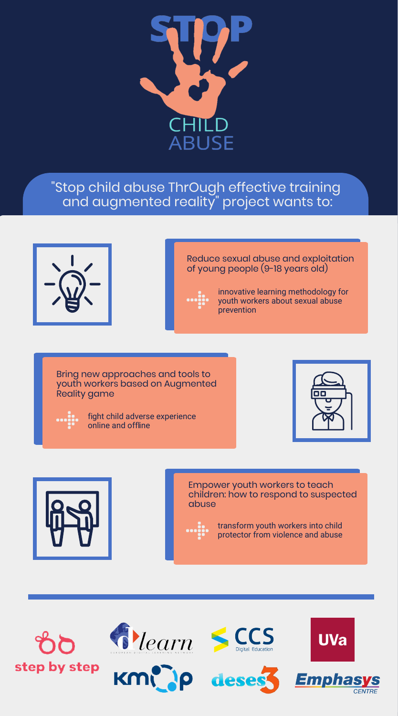

# "Stop child abuse ThrOugh effective training and augmented reality" project wants to:



### Reduce sexual abuse and exploitation of young people (9-18 years old)



innovative learning methodology for youth workers about sexual abuse prevention

Bring new approaches and tools to youth workers based on Augmented Reality game

| ۰<br>۰  |  |
|---------|--|
| ٠       |  |
| ۰<br>r. |  |
| .       |  |

fight child adverse experience online and offline





Empower youth workers to teach children: how to respond to suspected abuse

transform youth workers into child protector from violence and abuse